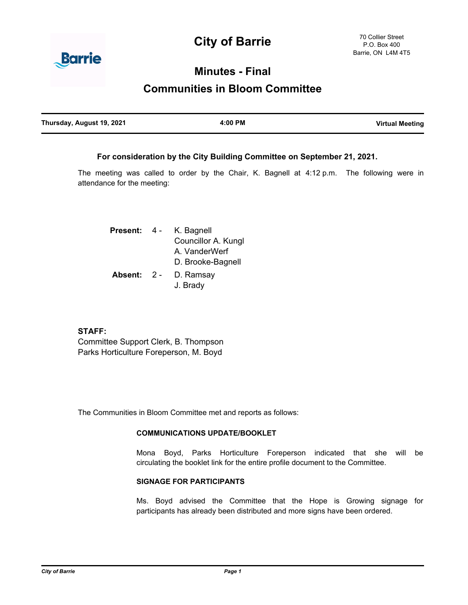# **City of Barrie**



## **Minutes - Final**

# **Communities in Bloom Committee**

| Thursday, August 19, 2021 | 4:00 PM | <b>Virtual Meeting</b> |
|---------------------------|---------|------------------------|
|                           |         |                        |

### **For consideration by the City Building Committee on September 21, 2021.**

The meeting was called to order by the Chair, K. Bagnell at 4:12 p.m. The following were in attendance for the meeting:

| <b>Present:</b> | - 4 - | K. Bagnell          |  |
|-----------------|-------|---------------------|--|
|                 |       | Councillor A. Kungl |  |
|                 |       | A. VanderWerf       |  |
|                 |       | D. Brooke-Bagnell   |  |
| Absent: 2 -     |       | D. Ramsay           |  |
|                 |       | J. Brady            |  |

### **STAFF:**

Committee Support Clerk, B. Thompson Parks Horticulture Foreperson, M. Boyd

The Communities in Bloom Committee met and reports as follows:

#### **COMMUNICATIONS UPDATE/BOOKLET**

Mona Boyd, Parks Horticulture Foreperson indicated that she will be circulating the booklet link for the entire profile document to the Committee.

#### **SIGNAGE FOR PARTICIPANTS**

Ms. Boyd advised the Committee that the Hope is Growing signage for participants has already been distributed and more signs have been ordered.